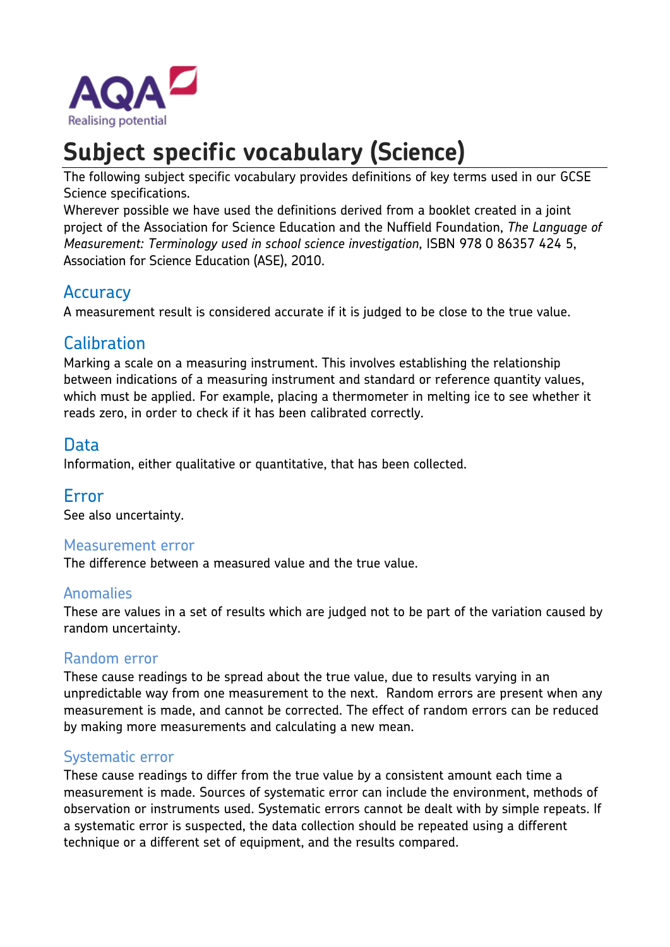

# **Subject specific vocabulary (Science)**

The following subject specific vocabulary provides definitions of key terms used in our GCSE Science specifications.

Wherever possible we have used the definitions derived from a booklet created in a joint project of the Association for Science Education and the Nuffield Foundation, *The Language of Measurement: Terminology used in school science investigation,* ISBN 978 0 86357 424 5, Association for Science Education (ASE), 2010.

# **Accuracy**

A measurement result is considered accurate if it is judged to be close to the true value.

# **Calibration**

Marking a scale on a measuring instrument. This involves establishing the relationship between indications of a measuring instrument and standard or reference quantity values, which must be applied. For example, placing a thermometer in melting ice to see whether it reads zero, in order to check if it has been calibrated correctly.

## Data

Information, either qualitative or quantitative, that has been collected.

## Error

See also uncertainty.

#### Measurement error

The difference between a measured value and the true value.

#### Anomalies

These are values in a set of results which are judged not to be part of the variation caused by random uncertainty.

#### Random error

These cause readings to be spread about the true value, due to results varying in an unpredictable way from one measurement to the next. Random errors are present when any measurement is made, and cannot be corrected. The effect of random errors can be reduced by making more measurements and calculating a new mean.

#### Systematic error

These cause readings to differ from the true value by a consistent amount each time a measurement is made. Sources of systematic error can include the environment, methods of observation or instruments used. Systematic errors cannot be dealt with by simple repeats. If a systematic error is suspected, the data collection should be repeated using a different technique or a different set of equipment, and the results compared.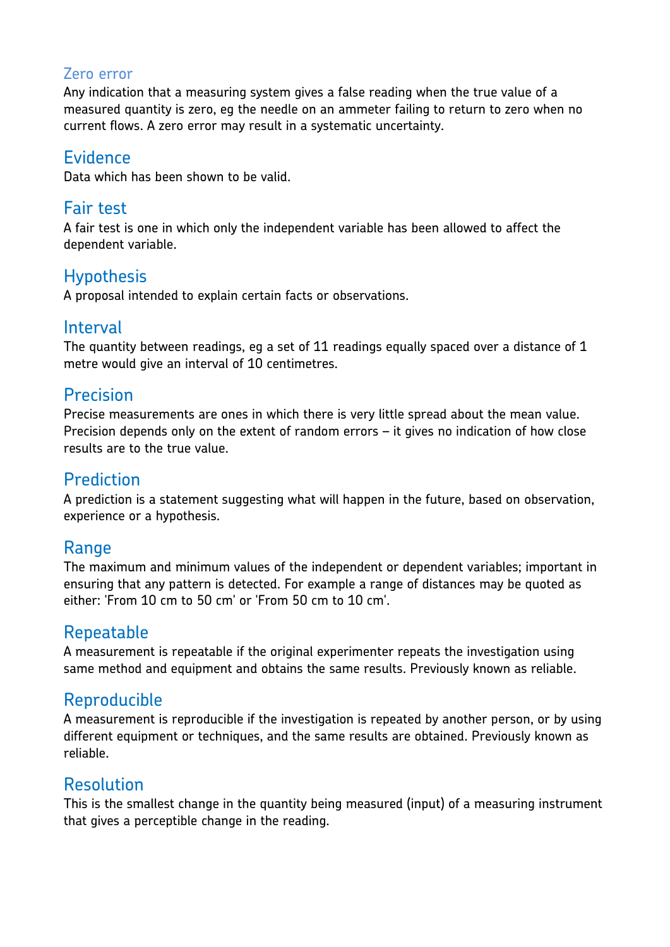### Zero error

Any indication that a measuring system gives a false reading when the true value of a measured quantity is zero, eg the needle on an ammeter failing to return to zero when no current flows. A zero error may result in a systematic uncertainty.

## **Evidence**

Data which has been shown to be valid.

# Fair test

A fair test is one in which only the independent variable has been allowed to affect the dependent variable.

## **Hypothesis**

A proposal intended to explain certain facts or observations.

## Interval

The quantity between readings, eg a set of 11 readings equally spaced over a distance of 1 metre would give an interval of 10 centimetres.

# Precision

Precise measurements are ones in which there is very little spread about the mean value. Precision depends only on the extent of random errors – it gives no indication of how close results are to the true value.

# Prediction

A prediction is a statement suggesting what will happen in the future, based on observation, experience or a hypothesis.

## Range

The maximum and minimum values of the independent or dependent variables; important in ensuring that any pattern is detected. For example a range of distances may be quoted as either: 'From 10 cm to 50 cm' or 'From 50 cm to 10 cm'.

## Repeatable

A measurement is repeatable if the original experimenter repeats the investigation using same method and equipment and obtains the same results. Previously known as reliable.

# Reproducible

A measurement is reproducible if the investigation is repeated by another person, or by using different equipment or techniques, and the same results are obtained. Previously known as reliable.

# Resolution

This is the smallest change in the quantity being measured (input) of a measuring instrument that gives a perceptible change in the reading.